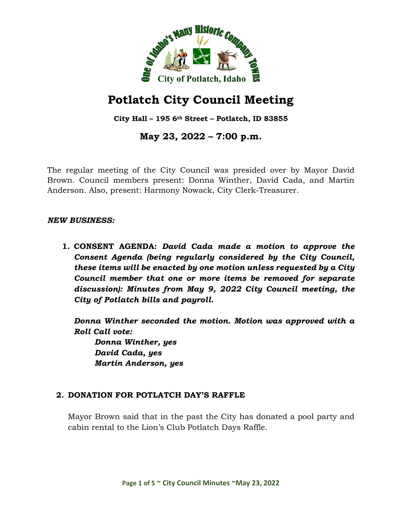

# **Potlatch City Council Meeting**

**City Hall – 195 6th Street – Potlatch, ID 83855**

**May 23, 2022 – 7:00 p.m.**

The regular meeting of the City Council was presided over by Mayor David Brown. Council members present: Donna Winther, David Cada, and Martin Anderson. Also, present: Harmony Nowack, City Clerk-Treasurer.

#### *NEW BUSINESS:*

**1. CONSENT AGENDA:** *David Cada made a motion to approve the Consent Agenda (being regularly considered by the City Council, these items will be enacted by one motion unless requested by a City Council member that one or more items be removed for separate discussion): Minutes from May 9, 2022 City Council meeting, the City of Potlatch bills and payroll.*

*Donna Winther seconded the motion. Motion was approved with a Roll Call vote:*

*Donna Winther, yes David Cada, yes Martin Anderson, yes*

# **2. DONATION FOR POTLATCH DAY'S RAFFLE**

Mayor Brown said that in the past the City has donated a pool party and cabin rental to the Lion's Club Potlatch Days Raffle.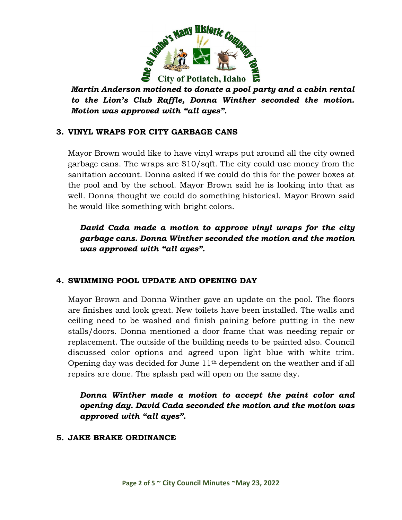

*Martin Anderson motioned to donate a pool party and a cabin rental to the Lion's Club Raffle, Donna Winther seconded the motion. Motion was approved with "all ayes".* 

# **3. VINYL WRAPS FOR CITY GARBAGE CANS**

Mayor Brown would like to have vinyl wraps put around all the city owned garbage cans. The wraps are \$10/sqft. The city could use money from the sanitation account. Donna asked if we could do this for the power boxes at the pool and by the school. Mayor Brown said he is looking into that as well. Donna thought we could do something historical. Mayor Brown said he would like something with bright colors.

*David Cada made a motion to approve vinyl wraps for the city garbage cans. Donna Winther seconded the motion and the motion was approved with "all ayes".*

# **4. SWIMMING POOL UPDATE AND OPENING DAY**

Mayor Brown and Donna Winther gave an update on the pool. The floors are finishes and look great. New toilets have been installed. The walls and ceiling need to be washed and finish paining before putting in the new stalls/doors. Donna mentioned a door frame that was needing repair or replacement. The outside of the building needs to be painted also. Council discussed color options and agreed upon light blue with white trim. Opening day was decided for June 11th dependent on the weather and if all repairs are done. The splash pad will open on the same day.

*Donna Winther made a motion to accept the paint color and opening day. David Cada seconded the motion and the motion was approved with "all ayes".*

#### **5. JAKE BRAKE ORDINANCE**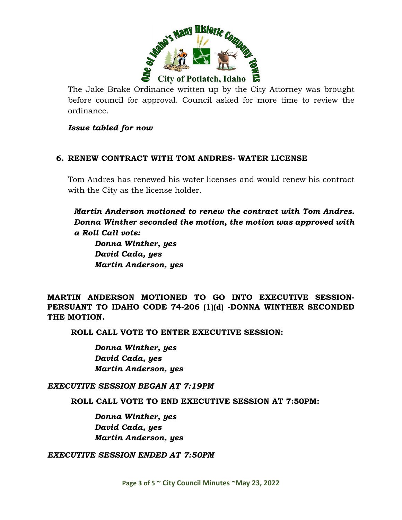

The Jake Brake Ordinance written up by the City Attorney was brought before council for approval. Council asked for more time to review the ordinance.

#### *Issue tabled for now*

#### **6. RENEW CONTRACT WITH TOM ANDRES- WATER LICENSE**

Tom Andres has renewed his water licenses and would renew his contract with the City as the license holder.

*Martin Anderson motioned to renew the contract with Tom Andres. Donna Winther seconded the motion, the motion was approved with a Roll Call vote:*

*Donna Winther, yes David Cada, yes Martin Anderson, yes*

**MARTIN ANDERSON MOTIONED TO GO INTO EXECUTIVE SESSION-PERSUANT TO IDAHO CODE 74-206 (1)(d) -DONNA WINTHER SECONDED THE MOTION.** 

**ROLL CALL VOTE TO ENTER EXECUTIVE SESSION:**

*Donna Winther, yes David Cada, yes Martin Anderson, yes*

*EXECUTIVE SESSION BEGAN AT 7:19PM*

**ROLL CALL VOTE TO END EXECUTIVE SESSION AT 7:50PM:**

*Donna Winther, yes David Cada, yes Martin Anderson, yes*

*EXECUTIVE SESSION ENDED AT 7:50PM*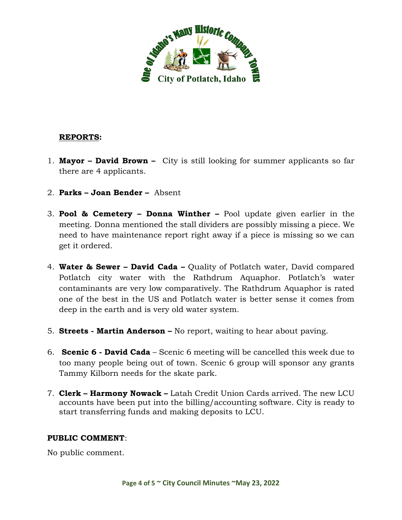

# **REPORTS:**

- 1. **Mayor David Brown** City is still looking for summer applicants so far there are 4 applicants.
- 2. **Parks Joan Bender** Absent
- 3. **Pool & Cemetery Donna Winther –** Pool update given earlier in the meeting. Donna mentioned the stall dividers are possibly missing a piece. We need to have maintenance report right away if a piece is missing so we can get it ordered.
- 4. **Water & Sewer David Cada –** Quality of Potlatch water, David compared Potlatch city water with the Rathdrum Aquaphor. Potlatch's water contaminants are very low comparatively. The Rathdrum Aquaphor is rated one of the best in the US and Potlatch water is better sense it comes from deep in the earth and is very old water system.
- 5. **Streets Martin Anderson –** No report, waiting to hear about paving.
- 6. **Scenic 6 David Cada** Scenic 6 meeting will be cancelled this week due to too many people being out of town. Scenic 6 group will sponsor any grants Tammy Kilborn needs for the skate park.
- 7. **Clerk Harmony Nowack –** Latah Credit Union Cards arrived. The new LCU accounts have been put into the billing/accounting software. City is ready to start transferring funds and making deposits to LCU.

#### **PUBLIC COMMENT**:

No public comment.